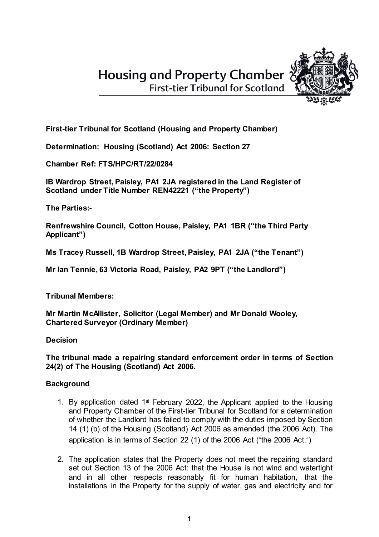**First-tier Tribunal for Scotland** 



**First-tier Tribunal for Scotland (Housing and Property Chamber)**

**Determination: Housing (Scotland) Act 2006: Section 27**

**Chamber Ref: FTS/HPC/RT/22/0284**

**IB Wardrop Street, Paisley, PA1 2JA registered in the Land Register of Scotland under Title Number REN42221 ("the Property")**

**The Parties:-**

**Renfrewshire Council, Cotton House, Paisley, PA1 1BR ("the Third Party Applicant")**

**Ms Tracey Russell, 1B Wardrop Street, Paisley, PA1 2JA ("the Tenant")**

**Mr Ian Tennie, 63 Victoria Road, Paisley, PA2 9PT ("the Landlord")**

**Tribunal Members:**

**Mr Martin McAllister, Solicitor (Legal Member) and Mr Donald Wooley, Chartered Surveyor (Ordinary Member)**

**Decision**

# **The tribunal made a repairing standard enforcement order in terms of Section 24(2) of The Housing (Scotland) Act 2006.**

# **Background**

- 1. By application dated  $1<sup>st</sup>$  February 2022, the Applicant applied to the Housing and Property Chamber of the First-tier Tribunal for Scotland for a determination of whether the Landlord has failed to comply with the duties imposed by Section 14 (1) (b) of the Housing (Scotland) Act 2006 as amended (the 2006 Act). The application is in terms of Section 22 (1) of the 2006 Act ("the 2006 Act.")
- 2. The application states that the Property does not meet the repairing standard set out Section 13 of the 2006 Act: that the House is not wind and watertight and in all other respects reasonably fit for human habitation, that the installations in the Property for the supply of water, gas and electricity and for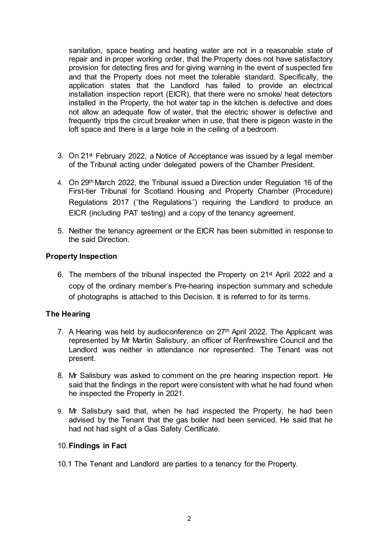sanitation, space heating and heating water are not in a reasonable state of repair and in proper working order, that the Property does not have satisfactory provision for detecting fires and for giving warning in the event of suspected fire and that the Property does not meet the tolerable standard. Specifically, the application states that the Landlord has failed to provide an electrical installation inspection report (EICR), that there were no smoke/ heat detectors installed in the Property, the hot water tap in the kitchen is defective and does not allow an adequate flow of water, that the electric shower is defective and frequently trips the circuit breaker when in use, that there is pigeon waste in the loft space and there is a large hole in the ceiling of a bedroom.

- 3. On 21<sup>st</sup> February 2022, a Notice of Acceptance was issued by a legal member of the Tribunal acting under delegated powers of the Chamber President.
- 4. On 29th March 2022, the Tribunal issued a Direction under Regulation 16 of the First-tier Tribunal for Scotland Housing and Property Chamber (Procedure) Regulations 2017 ("the Regulations") requiring the Landlord to produce an EICR (including PAT testing) and a copy of the tenancy agreement.
- 5. Neither the tenancy agreement or the EICR has been submitted in response to the said Direction.

### **Property Inspection**

6. The members of the tribunal inspected the Property on  $21<sup>st</sup>$  April 2022 and a copy of the ordinary member's Pre-hearing inspection summary and schedule of photographs is attached to this Decision. It is referred to for its terms.

## **The Hearing**

- 7. A Hearing was held by audioconference on 27th April 2022. The Applicant was represented by Mr Martin Salisbury, an officer of Renfrewshire Council and the Landlord was neither in attendance nor represented. The Tenant was not present.
- 8. Mr Salisbury was asked to comment on the pre hearing inspection report. He said that the findings in the report were consistent with what he had found when he inspected the Property in 2021.
- 9. Mr Salisbury said that, when he had inspected the Property, he had been advised by the Tenant that the gas boiler had been serviced. He said that he had not had sight of a Gas Safety Certificate.

#### 10.**Findings in Fact**

10.1 The Tenant and Landlord are parties to a tenancy for the Property.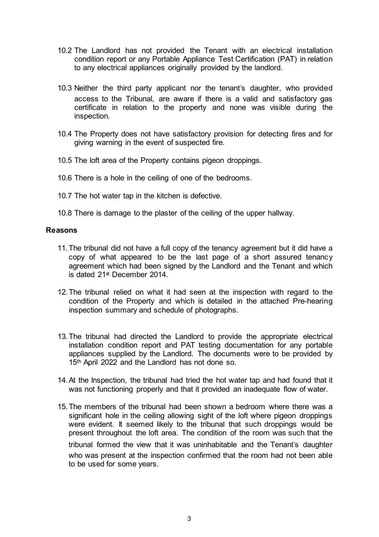- 10.2 The Landlord has not provided the Tenant with an electrical installation condition report or any Portable Appliance Test Certification (PAT) in relation to any electrical appliances originally provided by the landlord.
- 10.3 Neither the third party applicant nor the tenant's daughter, who provided access to the Tribunal, are aware if there is a valid and satisfactory gas certificate in relation to the property and none was visible during the inspection.
- 10.4 The Property does not have satisfactory provision for detecting fires and for giving warning in the event of suspected fire.
- 10.5 The loft area of the Property contains pigeon droppings.
- 10.6 There is a hole in the ceiling of one of the bedrooms.
- 10.7 The hot water tap in the kitchen is defective.
- 10.8 There is damage to the plaster of the ceiling of the upper hallway.

### **Reasons**

- 11.The tribunal did not have a full copy of the tenancy agreement but it did have a copy of what appeared to be the last page of a short assured tenancy agreement which had been signed by the Landlord and the Tenant and which is dated 21st December 2014.
- 12.The tribunal relied on what it had seen at the inspection with regard to the condition of the Property and which is detailed in the attached Pre-hearing inspection summary and schedule of photographs.
- 13.The tribunal had directed the Landlord to provide the appropriate electrical installation condition report and PAT testing documentation for any portable appliances supplied by the Landlord. The documents were to be provided by 15<sup>th</sup> April 2022 and the Landlord has not done so.
- 14.At the Inspection, the tribunal had tried the hot water tap and had found that it was not functioning properly and that it provided an inadequate flow of water.
- 15.The members of the tribunal had been shown a bedroom where there was a significant hole in the ceiling allowing sight of the loft where pigeon droppings were evident. It seemed likely to the tribunal that such droppings would be present throughout the loft area. The condition of the room was such that the tribunal formed the view that it was uninhabitable and the Tenant's daughter who was present at the inspection confirmed that the room had not been able to be used for some years.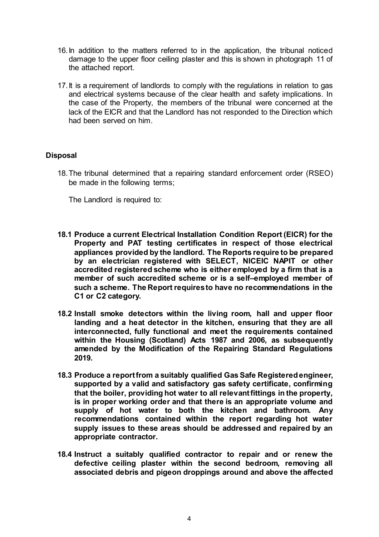- 16.In addition to the matters referred to in the application, the tribunal noticed damage to the upper floor ceiling plaster and this is shown in photograph 11 of the attached report.
- 17. It is a requirement of landlords to comply with the regulations in relation to gas and electrical systems because of the clear health and safety implications. In the case of the Property, the members of the tribunal were concerned at the lack of the EICR and that the Landlord has not responded to the Direction which had been served on him.

## **Disposal**

18.The tribunal determined that a repairing standard enforcement order (RSEO) be made in the following terms;

The Landlord is required to:

- **18.1 Produce a current Electrical Installation Condition Report (EICR) for the Property and PAT testing certificates in respect of those electrical appliances provided by the landlord. The Reports require to be prepared by an electrician registered with SELECT, NICEIC NAPIT or other accredited registered scheme who is either employed by a firm that is a member of such accredited scheme or is a self–employed member of such a scheme. The Report requiresto have no recommendations in the C1 or C2 category.**
- **18.2 Install smoke detectors within the living room, hall and upper floor landing and a heat detector in the kitchen, ensuring that they are all interconnected, fully functional and meet the requirements contained within the Housing (Scotland) Acts 1987 and 2006, as subsequently amended by the Modification of the Repairing Standard Regulations 2019.**
- **18.3 Produce a reportfrom a suitably qualified Gas Safe Registeredengineer, supported by a valid and satisfactory gas safety certificate, confirming that the boiler, providing hot water to all relevantfittings in the property, is in proper working order and that there is an appropriate volume and supply of hot water to both the kitchen and bathroom. Any recommendations contained within the report regarding hot water supply issues to these areas should be addressed and repaired by an appropriate contractor.**
- **18.4 Instruct a suitably qualified contractor to repair and or renew the defective ceiling plaster within the second bedroom, removing all associated debris and pigeon droppings around and above the affected**